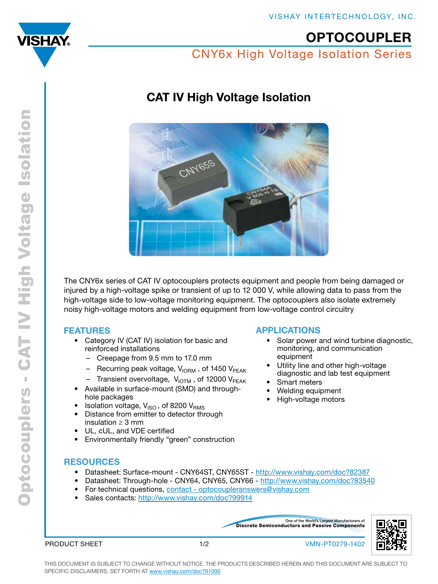<span id="page-0-0"></span>

# **OPTOCOUPLER**

CNY6x High Voltage Isolation Series

# CAT IV High Voltage Isolation



The CNY6x series of CAT IV optocouplers protects equipment and people from being damaged or injured by a high-voltage spike or transient of up to 12 000 V, while allowing data to pass from the high-voltage side to low-voltage monitoring equipment. The optocouplers also isolate extremely noisy high-voltage motors and welding equipment from low-voltage control circuitry

## FEATURES

- Category IV (CAT IV) isolation for basic and reinforced installations
	- Creepage from 9.5 mm to 17.0 mm
	- Recurring peak voltage,  $V_{\text{10RM}}$ , of 1450  $V_{\text{PEAK}}$
	- Transient overvoltage,  $V_{\text{IOTM}}$ , of 12000  $V_{\text{PEAK}}$
- Available in surface-mount (SMD) and throughhole packages
- Isolation voltage,  $V_{\text{ISO}}$ , of 8200  $V_{\text{RMS}}$
- Distance from emitter to detector through insulation  $\geq 3$  mm
- UL, cUL, and VDE certified
- Environmentally friendly "green" construction

## APPLICATIONS

- Solar power and wind turbine diagnostic, monitoring, and communication equipment
- Utility line and other high-voltage diagnostic and lab test equipment
- **Smart meters**
- Welding equipment
- High-voltage motors

## **RESOURCES**

- Datasheet: Surface-mount CNY64ST, CNY65ST <http://www.vishay.com/doc?82387>
- Datasheet: Through-hole CNY64, CNY65, CNY66 -<http://www.vishay.com/doc?83540>
- For technical questions, [contact optocoupleranswers@vishay.com](mailto:optocoupleranswers%40vishay.com?subject=Optocouplers)
- Sales contacts: <http://www.vishay.com/doc?99914>

Discrete Semiconductors and Passive Components One of the World's Largest Manufacturers of



PRODUCT SHEET

1/2 VMN-PT0279-1402

This document is subject to change without notice. THE PRODUCTS DESCRIBED HEREIN AND THIS DOCUMENT ARE SUBJECT TO SPECIFIC DISCLAIMERS, SET FORTH AT [www.vishay.com/doc?91000](http://www.vishay.com/doc?91000)

Optocouplers - CAT IV High Voltage Isolation Optocouplers - CAT IV High Voltage Isolation